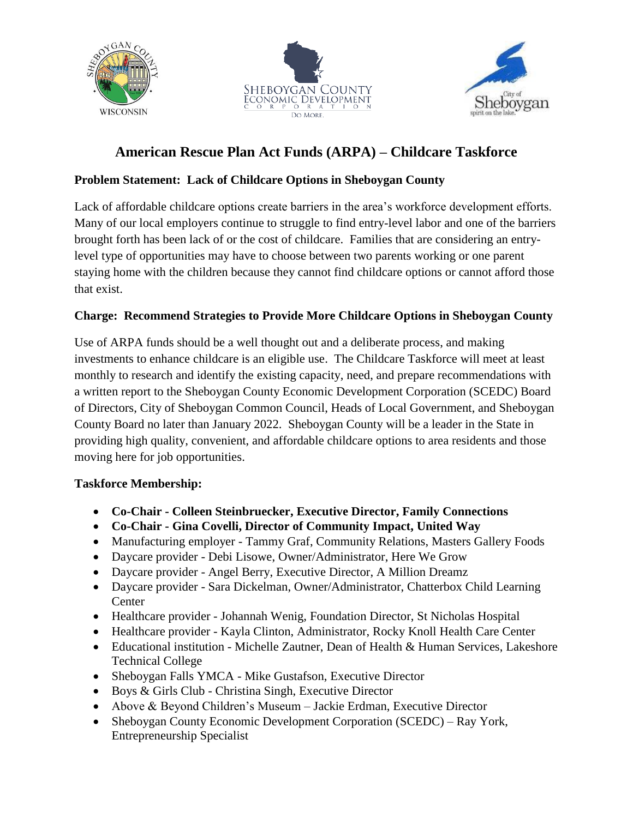





# **American Rescue Plan Act Funds (ARPA) – Childcare Taskforce**

# **Problem Statement: Lack of Childcare Options in Sheboygan County**

Lack of affordable childcare options create barriers in the area's workforce development efforts. Many of our local employers continue to struggle to find entry-level labor and one of the barriers brought forth has been lack of or the cost of childcare. Families that are considering an entrylevel type of opportunities may have to choose between two parents working or one parent staying home with the children because they cannot find childcare options or cannot afford those that exist.

# **Charge: Recommend Strategies to Provide More Childcare Options in Sheboygan County**

Use of ARPA funds should be a well thought out and a deliberate process, and making investments to enhance childcare is an eligible use. The Childcare Taskforce will meet at least monthly to research and identify the existing capacity, need, and prepare recommendations with a written report to the Sheboygan County Economic Development Corporation (SCEDC) Board of Directors, City of Sheboygan Common Council, Heads of Local Government, and Sheboygan County Board no later than January 2022. Sheboygan County will be a leader in the State in providing high quality, convenient, and affordable childcare options to area residents and those moving here for job opportunities.

# **Taskforce Membership:**

- **Co-Chair - Colleen Steinbruecker, Executive Director, Family Connections**
- **Co-Chair - Gina Covelli, Director of Community Impact, United Way**
- Manufacturing employer Tammy Graf, Community Relations, Masters Gallery Foods
- Daycare provider Debi Lisowe, Owner/Administrator, Here We Grow
- Daycare provider Angel Berry, Executive Director, A Million Dreamz
- Daycare provider Sara Dickelman, Owner/Administrator, Chatterbox Child Learning **Center**
- Healthcare provider Johannah Wenig, Foundation Director, St Nicholas Hospital
- Healthcare provider Kayla Clinton, Administrator, Rocky Knoll Health Care Center
- Educational institution Michelle Zautner, Dean of Health & Human Services, Lakeshore Technical College
- Sheboygan Falls YMCA Mike Gustafson, Executive Director
- Boys & Girls Club Christina Singh, Executive Director
- Above & Beyond Children's Museum Jackie Erdman, Executive Director
- Sheboygan County Economic Development Corporation (SCEDC) Ray York, Entrepreneurship Specialist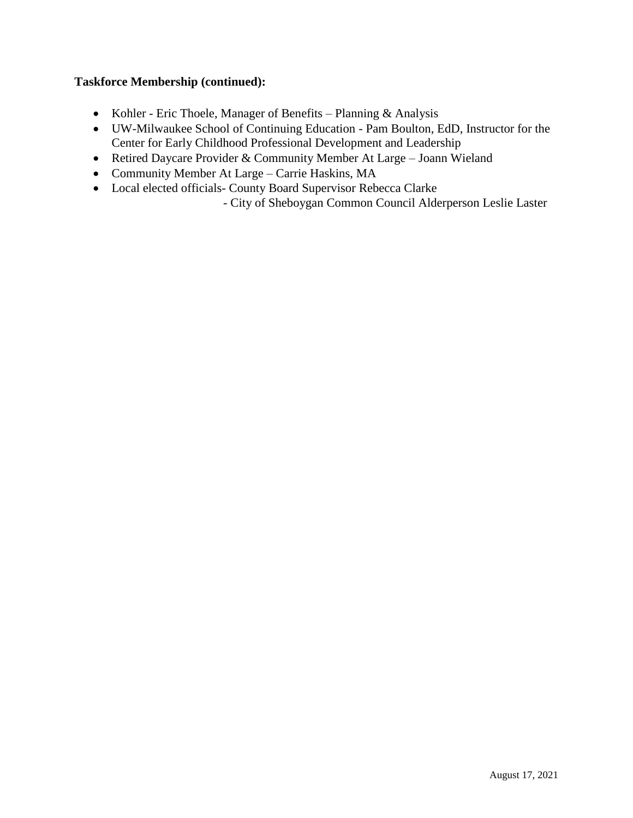#### **Taskforce Membership (continued):**

- Kohler Eric Thoele, Manager of Benefits Planning & Analysis
- UW-Milwaukee School of Continuing Education Pam Boulton, EdD, Instructor for the Center for Early Childhood Professional Development and Leadership
- Retired Daycare Provider & Community Member At Large Joann Wieland
- Community Member At Large Carrie Haskins, MA
- Local elected officials- County Board Supervisor Rebecca Clarke

- City of Sheboygan Common Council Alderperson Leslie Laster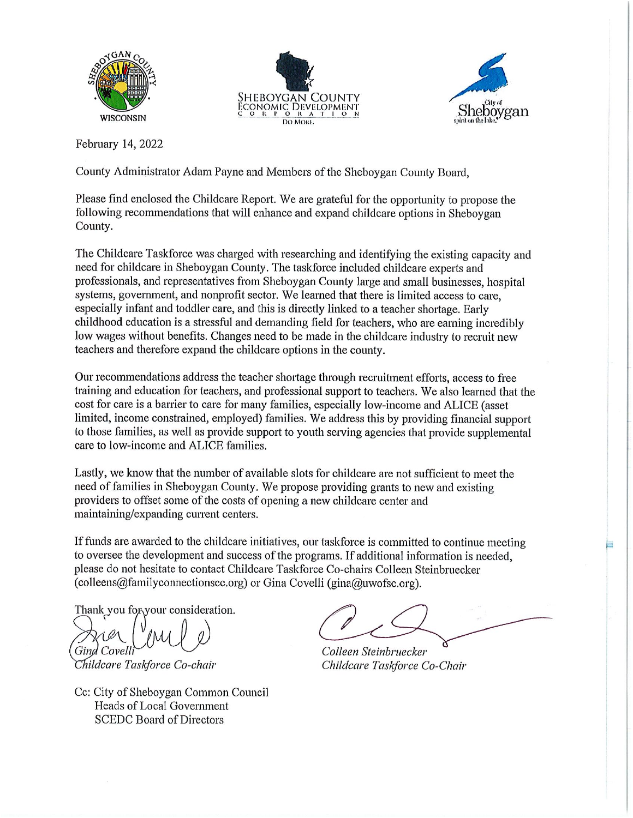





February 14, 2022

County Administrator Adam Payne and Members of the Sheboygan County Board,

Please find enclosed the Childcare Report. We are grateful for the opportunity to propose the following recommendations that will enhance and expand childcare options in Sheboygan County.

The Childcare Taskforce was charged with researching and identifying the existing capacity and need for childcare in Sheboygan County. The taskforce included childcare experts and professionals, and representatives from Sheboygan County large and small businesses, hospital systems, government, and nonprofit sector. We learned that there is limited access to care, especially infant and toddler care, and this is directly linked to a teacher shortage. Early childhood education is a stressful and demanding field for teachers, who are earning incredibly low wages without benefits. Changes need to be made in the childcare industry to recruit new teachers and therefore expand the childcare options in the county.

Our recommendations address the teacher shortage through recruitment efforts, access to free training and education for teachers, and professional support to teachers. We also learned that the cost for care is a barrier to care for many families, especially low-income and ALICE (asset limited, income constrained, employed) families. We address this by providing financial support to those families, as well as provide support to youth serving agencies that provide supplemental care to low-income and ALICE families.

Lastly, we know that the number of available slots for childcare are not sufficient to meet the need of families in Sheboygan County. We propose providing grants to new and existing providers to offset some of the costs of opening a new childcare center and maintaining/expanding current centers.

If funds are awarded to the childcare initiatives, our taskforce is committed to continue meeting to oversee the development and success of the programs. If additional information is needed, please do not hesitate to contact Childcare Taskforce Co-chairs Colleen Steinbruecker (colleens@familyconnectionscc.org) or Gina Covelli (gina@uwofsc.org).

Thank you for your consideration.

Gind Covell

Childcare Taskforce Co-chair

Cc: City of Sheboygan Common Council Heads of Local Government **SCEDC Board of Directors** 

Colleen Steinbruecker Childcare Taskforce Co-Chair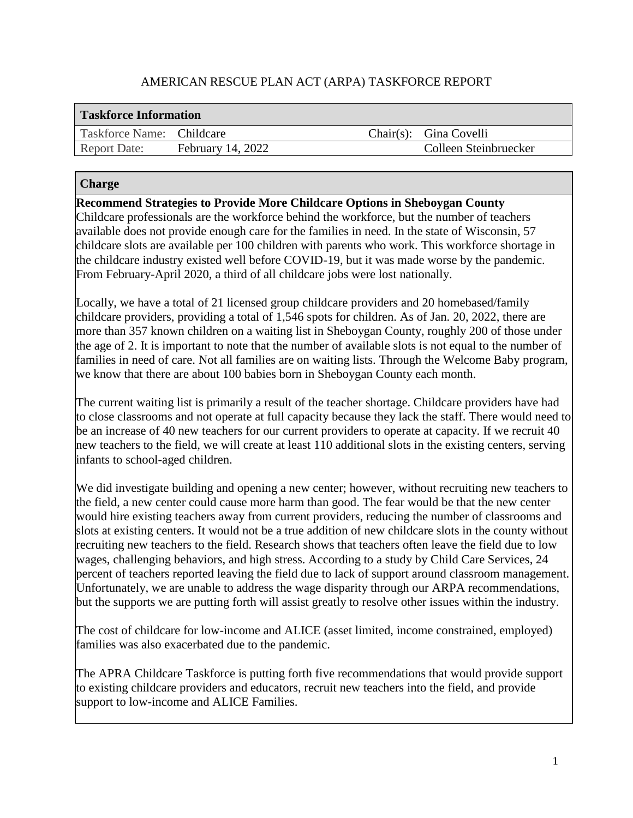# AMERICAN RESCUE PLAN ACT (ARPA) TASKFORCE REPORT

| <b>Taskforce Information</b> |                          |  |                        |
|------------------------------|--------------------------|--|------------------------|
| Taskforce Name: Childcare    |                          |  | Chair(s): Gina Covelli |
| <b>Report Date:</b>          | <b>February 14, 2022</b> |  | Colleen Steinbruecker  |

#### **Charge**

**Recommend Strategies to Provide More Childcare Options in Sheboygan County**

Childcare professionals are the workforce behind the workforce, but the number of teachers available does not provide enough care for the families in need. In the state of Wisconsin, 57 childcare slots are available per 100 children with parents who work. This workforce shortage in the childcare industry existed well before COVID-19, but it was made worse by the pandemic. From February-April 2020, a third of all childcare jobs were lost nationally.

Locally, we have a total of 21 licensed group childcare providers and 20 homebased/family childcare providers, providing a total of 1,546 spots for children. As of Jan. 20, 2022, there are more than 357 known children on a waiting list in Sheboygan County, roughly 200 of those under the age of 2. It is important to note that the number of available slots is not equal to the number of families in need of care. Not all families are on waiting lists. Through the Welcome Baby program, we know that there are about 100 babies born in Sheboygan County each month.

The current waiting list is primarily a result of the teacher shortage. Childcare providers have had to close classrooms and not operate at full capacity because they lack the staff. There would need to be an increase of 40 new teachers for our current providers to operate at capacity. If we recruit 40 new teachers to the field, we will create at least 110 additional slots in the existing centers, serving infants to school-aged children.

We did investigate building and opening a new center; however, without recruiting new teachers to the field, a new center could cause more harm than good. The fear would be that the new center would hire existing teachers away from current providers, reducing the number of classrooms and slots at existing centers. It would not be a true addition of new childcare slots in the county without recruiting new teachers to the field. Research shows that teachers often leave the field due to low wages, challenging behaviors, and high stress. According to a study by Child Care Services, 24 percent of teachers reported leaving the field due to lack of support around classroom management. Unfortunately, we are unable to address the wage disparity through our ARPA recommendations, but the supports we are putting forth will assist greatly to resolve other issues within the industry.

The cost of childcare for low-income and ALICE (asset limited, income constrained, employed) families was also exacerbated due to the pandemic.

The APRA Childcare Taskforce is putting forth five recommendations that would provide support to existing childcare providers and educators, recruit new teachers into the field, and provide support to low-income and ALICE Families.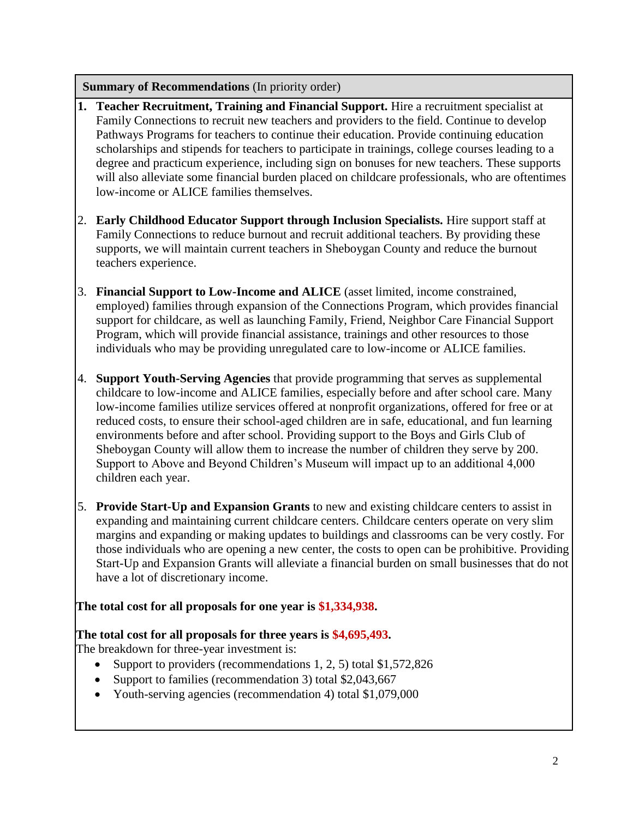#### **Summary of Recommendations** (In priority order)

- **1. Teacher Recruitment, Training and Financial Support.** Hire a recruitment specialist at Family Connections to recruit new teachers and providers to the field. Continue to develop Pathways Programs for teachers to continue their education. Provide continuing education scholarships and stipends for teachers to participate in trainings, college courses leading to a degree and practicum experience, including sign on bonuses for new teachers. These supports will also alleviate some financial burden placed on childcare professionals, who are oftentimes low-income or ALICE families themselves.
- 2. **Early Childhood Educator Support through Inclusion Specialists.** Hire support staff at Family Connections to reduce burnout and recruit additional teachers. By providing these supports, we will maintain current teachers in Sheboygan County and reduce the burnout teachers experience.
- 3. **Financial Support to Low-Income and ALICE** (asset limited, income constrained, employed) families through expansion of the Connections Program, which provides financial support for childcare, as well as launching Family, Friend, Neighbor Care Financial Support Program, which will provide financial assistance, trainings and other resources to those individuals who may be providing unregulated care to low-income or ALICE families.
- 4. **Support Youth-Serving Agencies** that provide programming that serves as supplemental childcare to low-income and ALICE families, especially before and after school care. Many low-income families utilize services offered at nonprofit organizations, offered for free or at reduced costs, to ensure their school-aged children are in safe, educational, and fun learning environments before and after school. Providing support to the Boys and Girls Club of Sheboygan County will allow them to increase the number of children they serve by 200. Support to Above and Beyond Children's Museum will impact up to an additional 4,000 children each year.
- 5. **Provide Start-Up and Expansion Grants** to new and existing childcare centers to assist in expanding and maintaining current childcare centers. Childcare centers operate on very slim margins and expanding or making updates to buildings and classrooms can be very costly. For those individuals who are opening a new center, the costs to open can be prohibitive. Providing Start-Up and Expansion Grants will alleviate a financial burden on small businesses that do not have a lot of discretionary income.

# **The total cost for all proposals for one year is \$1,334,938.**

#### **The total cost for all proposals for three years is \$4,695,493.**

The breakdown for three-year investment is:

- Support to providers (recommendations 1, 2, 5) total \$1,572,826
- Support to families (recommendation 3) total \$2,043,667
- Youth-serving agencies (recommendation 4) total \$1,079,000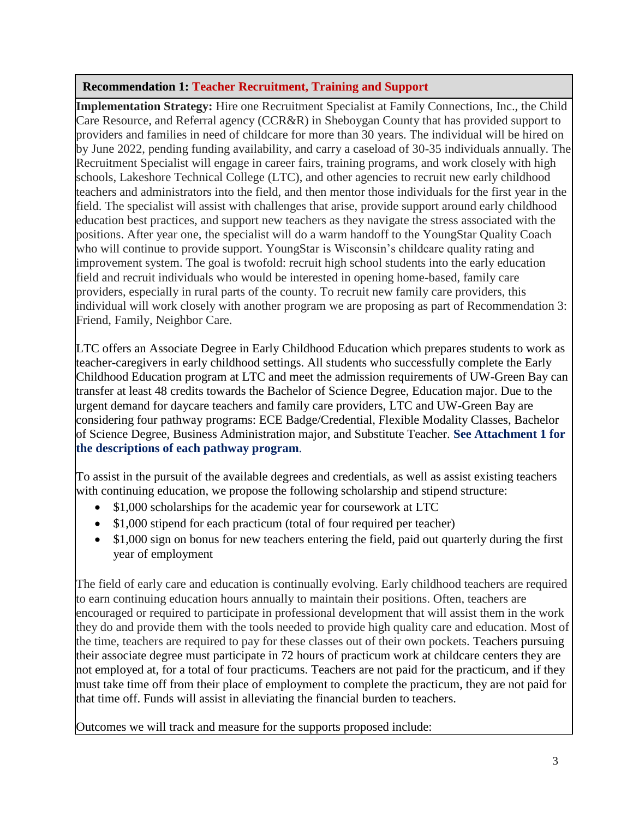# **Recommendation 1: Teacher Recruitment, Training and Support**

**Implementation Strategy:** Hire one Recruitment Specialist at Family Connections, Inc., the Child Care Resource, and Referral agency (CCR&R) in Sheboygan County that has provided support to providers and families in need of childcare for more than 30 years. The individual will be hired on by June 2022, pending funding availability, and carry a caseload of 30-35 individuals annually. The Recruitment Specialist will engage in career fairs, training programs, and work closely with high schools, Lakeshore Technical College (LTC), and other agencies to recruit new early childhood teachers and administrators into the field, and then mentor those individuals for the first year in the field. The specialist will assist with challenges that arise, provide support around early childhood education best practices, and support new teachers as they navigate the stress associated with the positions. After year one, the specialist will do a warm handoff to the YoungStar Quality Coach who will continue to provide support. YoungStar is Wisconsin's childcare quality rating and improvement system. The goal is twofold: recruit high school students into the early education field and recruit individuals who would be interested in opening home-based, family care providers, especially in rural parts of the county. To recruit new family care providers, this individual will work closely with another program we are proposing as part of Recommendation 3: Friend, Family, Neighbor Care.

LTC offers an Associate Degree in Early Childhood Education which prepares students to work as teacher-caregivers in early childhood settings. All students who successfully complete the Early Childhood Education program at LTC and meet the admission requirements of UW-Green Bay can transfer at least 48 credits towards the Bachelor of Science Degree, Education major. Due to the urgent demand for daycare teachers and family care providers, LTC and UW-Green Bay are considering four pathway programs: ECE Badge/Credential, Flexible Modality Classes, Bachelor of Science Degree, Business Administration major, and Substitute Teacher. **See Attachment 1 for the descriptions of each pathway program**.

To assist in the pursuit of the available degrees and credentials, as well as assist existing teachers with continuing education, we propose the following scholarship and stipend structure:

- \$1,000 scholarships for the academic year for coursework at LTC
- \$1,000 stipend for each practicum (total of four required per teacher)
- \$1,000 sign on bonus for new teachers entering the field, paid out quarterly during the first year of employment

The field of early care and education is continually evolving. Early childhood teachers are required to earn continuing education hours annually to maintain their positions. Often, teachers are encouraged or required to participate in professional development that will assist them in the work they do and provide them with the tools needed to provide high quality care and education. Most of the time, teachers are required to pay for these classes out of their own pockets. Teachers pursuing their associate degree must participate in 72 hours of practicum work at childcare centers they are not employed at, for a total of four practicums. Teachers are not paid for the practicum, and if they must take time off from their place of employment to complete the practicum, they are not paid for that time off. Funds will assist in alleviating the financial burden to teachers.

Outcomes we will track and measure for the supports proposed include: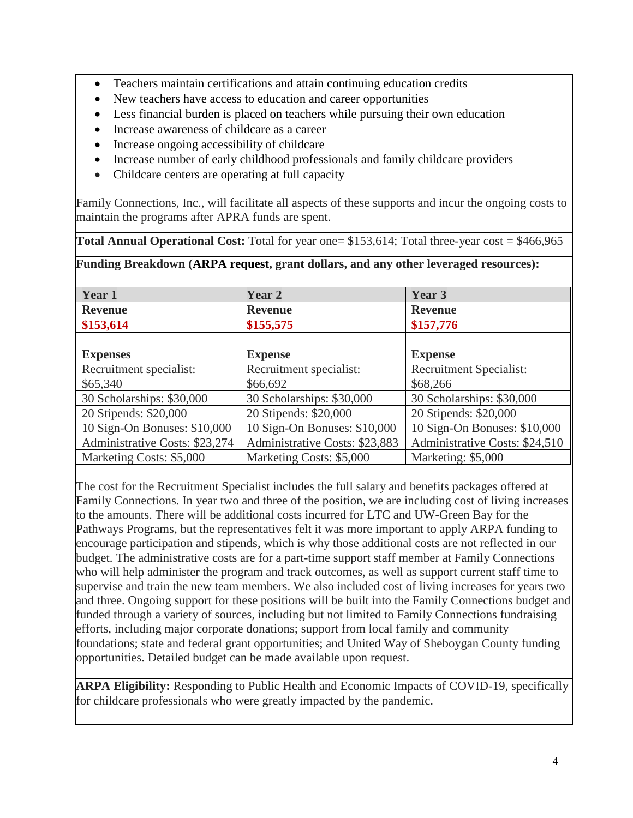- Teachers maintain certifications and attain continuing education credits
- New teachers have access to education and career opportunities
- Less financial burden is placed on teachers while pursuing their own education
- Increase awareness of childcare as a career
- Increase ongoing accessibility of childcare
- Increase number of early childhood professionals and family childcare providers
- Childcare centers are operating at full capacity

Family Connections, Inc., will facilitate all aspects of these supports and incur the ongoing costs to maintain the programs after APRA funds are spent.

**Total Annual Operational Cost:** Total for year one= \$153,614; Total three-year cost = \$466,965

**Funding Breakdown (ARPA request, grant dollars, and any other leveraged resources):**

| Year 1                         | <b>Year 2</b>                  | Year 3                         |
|--------------------------------|--------------------------------|--------------------------------|
| <b>Revenue</b>                 | <b>Revenue</b>                 | <b>Revenue</b>                 |
| \$153,614                      | \$155,575                      | \$157,776                      |
|                                |                                |                                |
| <b>Expenses</b>                | <b>Expense</b>                 | <b>Expense</b>                 |
| Recruitment specialist:        | Recruitment specialist:        | <b>Recruitment Specialist:</b> |
| \$65,340                       | \$66,692                       | \$68,266                       |
| 30 Scholarships: \$30,000      | 30 Scholarships: \$30,000      | 30 Scholarships: \$30,000      |
| 20 Stipends: \$20,000          | 20 Stipends: \$20,000          | 20 Stipends: \$20,000          |
| 10 Sign-On Bonuses: \$10,000   | 10 Sign-On Bonuses: \$10,000   | 10 Sign-On Bonuses: \$10,000   |
| Administrative Costs: \$23,274 | Administrative Costs: \$23,883 | Administrative Costs: \$24,510 |
| Marketing Costs: \$5,000       | Marketing Costs: \$5,000       | Marketing: \$5,000             |

The cost for the Recruitment Specialist includes the full salary and benefits packages offered at Family Connections. In year two and three of the position, we are including cost of living increases to the amounts. There will be additional costs incurred for LTC and UW-Green Bay for the Pathways Programs, but the representatives felt it was more important to apply ARPA funding to encourage participation and stipends, which is why those additional costs are not reflected in our budget. The administrative costs are for a part-time support staff member at Family Connections who will help administer the program and track outcomes, as well as support current staff time to supervise and train the new team members. We also included cost of living increases for years two and three. Ongoing support for these positions will be built into the Family Connections budget and funded through a variety of sources, including but not limited to Family Connections fundraising efforts, including major corporate donations; support from local family and community foundations; state and federal grant opportunities; and United Way of Sheboygan County funding opportunities. Detailed budget can be made available upon request.

**ARPA Eligibility:** Responding to Public Health and Economic Impacts of COVID-19, specifically for childcare professionals who were greatly impacted by the pandemic.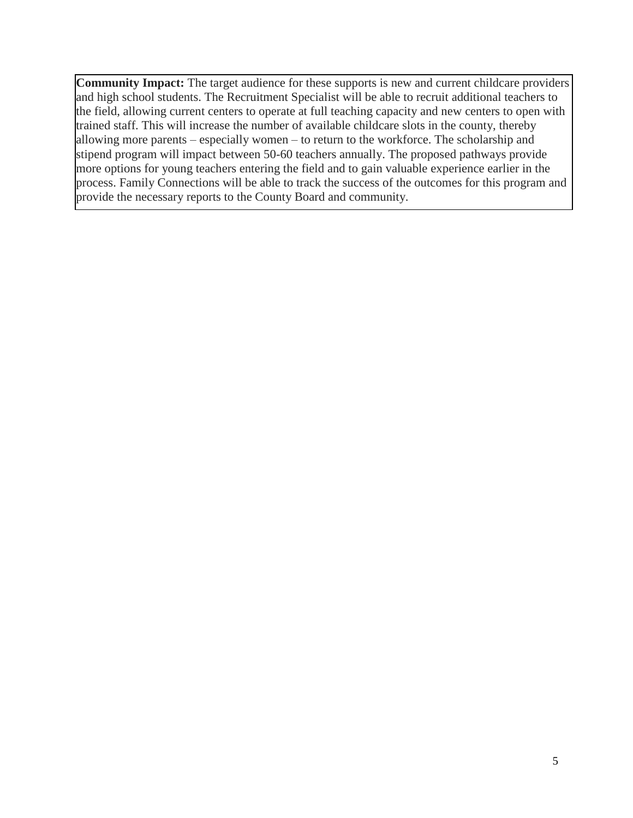**Community Impact:** The target audience for these supports is new and current childcare providers and high school students. The Recruitment Specialist will be able to recruit additional teachers to the field, allowing current centers to operate at full teaching capacity and new centers to open with trained staff. This will increase the number of available childcare slots in the county, thereby allowing more parents – especially women – to return to the workforce. The scholarship and stipend program will impact between 50-60 teachers annually. The proposed pathways provide more options for young teachers entering the field and to gain valuable experience earlier in the process. Family Connections will be able to track the success of the outcomes for this program and provide the necessary reports to the County Board and community.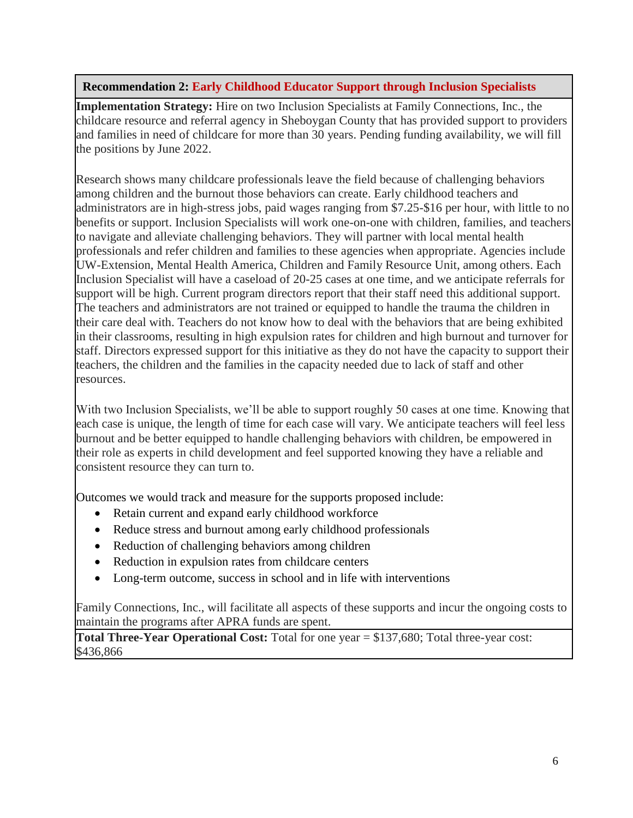# **Recommendation 2: Early Childhood Educator Support through Inclusion Specialists**

**Implementation Strategy:** Hire on two Inclusion Specialists at Family Connections, Inc., the childcare resource and referral agency in Sheboygan County that has provided support to providers and families in need of childcare for more than 30 years. Pending funding availability, we will fill the positions by June 2022.

Research shows many childcare professionals leave the field because of challenging behaviors among children and the burnout those behaviors can create. Early childhood teachers and administrators are in high-stress jobs, paid wages ranging from \$7.25-\$16 per hour, with little to no benefits or support. Inclusion Specialists will work one-on-one with children, families, and teachers to navigate and alleviate challenging behaviors. They will partner with local mental health professionals and refer children and families to these agencies when appropriate. Agencies include UW-Extension, Mental Health America, Children and Family Resource Unit, among others. Each Inclusion Specialist will have a caseload of 20-25 cases at one time, and we anticipate referrals for support will be high. Current program directors report that their staff need this additional support. The teachers and administrators are not trained or equipped to handle the trauma the children in their care deal with. Teachers do not know how to deal with the behaviors that are being exhibited in their classrooms, resulting in high expulsion rates for children and high burnout and turnover for staff. Directors expressed support for this initiative as they do not have the capacity to support their teachers, the children and the families in the capacity needed due to lack of staff and other resources.

With two Inclusion Specialists, we'll be able to support roughly 50 cases at one time. Knowing that each case is unique, the length of time for each case will vary. We anticipate teachers will feel less burnout and be better equipped to handle challenging behaviors with children, be empowered in their role as experts in child development and feel supported knowing they have a reliable and consistent resource they can turn to.

Outcomes we would track and measure for the supports proposed include:

- Retain current and expand early childhood workforce
- Reduce stress and burnout among early childhood professionals
- Reduction of challenging behaviors among children
- Reduction in expulsion rates from childcare centers
- Long-term outcome, success in school and in life with interventions

Family Connections, Inc., will facilitate all aspects of these supports and incur the ongoing costs to maintain the programs after APRA funds are spent.

**Total Three-Year Operational Cost:** Total for one year = \$137,680; Total three-year cost: \$436,866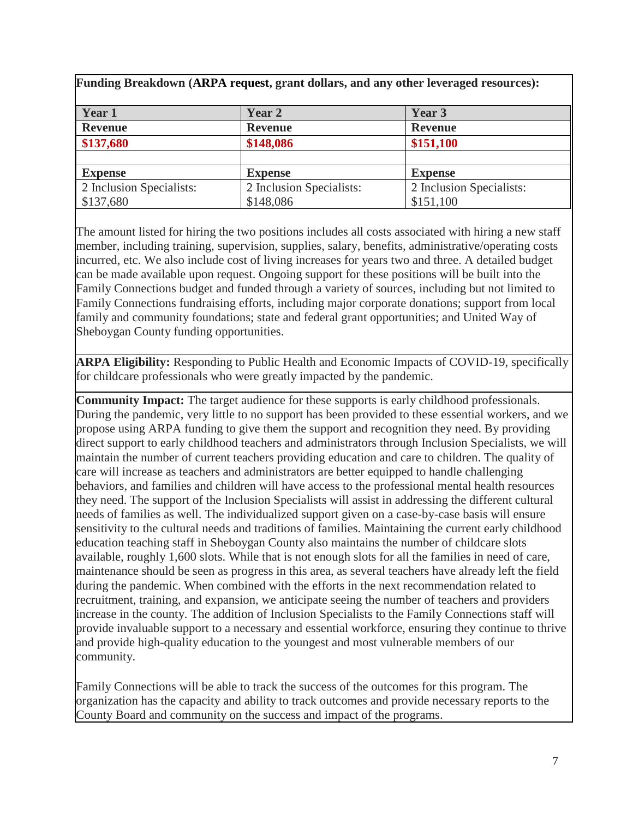| Funding Breakdown (ARPA request, grant dollars, and any other leveraged resources): |                          |                          |  |
|-------------------------------------------------------------------------------------|--------------------------|--------------------------|--|
| Year 1                                                                              | Year 2                   | Year 3                   |  |
| <b>Revenue</b>                                                                      | <b>Revenue</b>           | <b>Revenue</b>           |  |
| \$137,680                                                                           | \$148,086                | \$151,100                |  |
|                                                                                     |                          |                          |  |
| <b>Expense</b>                                                                      | <b>Expense</b>           | <b>Expense</b>           |  |
| 2 Inclusion Specialists:                                                            | 2 Inclusion Specialists: | 2 Inclusion Specialists: |  |
| \$137,680                                                                           | \$148,086                | \$151,100                |  |

The amount listed for hiring the two positions includes all costs associated with hiring a new staff member, including training, supervision, supplies, salary, benefits, administrative/operating costs incurred, etc. We also include cost of living increases for years two and three. A detailed budget can be made available upon request. Ongoing support for these positions will be built into the Family Connections budget and funded through a variety of sources, including but not limited to Family Connections fundraising efforts, including major corporate donations; support from local family and community foundations; state and federal grant opportunities; and United Way of Sheboygan County funding opportunities.

**ARPA Eligibility:** Responding to Public Health and Economic Impacts of COVID-19, specifically for childcare professionals who were greatly impacted by the pandemic.

**Community Impact:** The target audience for these supports is early childhood professionals. During the pandemic, very little to no support has been provided to these essential workers, and we propose using ARPA funding to give them the support and recognition they need. By providing direct support to early childhood teachers and administrators through Inclusion Specialists, we will maintain the number of current teachers providing education and care to children. The quality of care will increase as teachers and administrators are better equipped to handle challenging behaviors, and families and children will have access to the professional mental health resources they need. The support of the Inclusion Specialists will assist in addressing the different cultural needs of families as well. The individualized support given on a case-by-case basis will ensure sensitivity to the cultural needs and traditions of families. Maintaining the current early childhood education teaching staff in Sheboygan County also maintains the number of childcare slots available, roughly 1,600 slots. While that is not enough slots for all the families in need of care, maintenance should be seen as progress in this area, as several teachers have already left the field during the pandemic. When combined with the efforts in the next recommendation related to recruitment, training, and expansion, we anticipate seeing the number of teachers and providers increase in the county. The addition of Inclusion Specialists to the Family Connections staff will provide invaluable support to a necessary and essential workforce, ensuring they continue to thrive and provide high-quality education to the youngest and most vulnerable members of our community.

Family Connections will be able to track the success of the outcomes for this program. The organization has the capacity and ability to track outcomes and provide necessary reports to the County Board and community on the success and impact of the programs.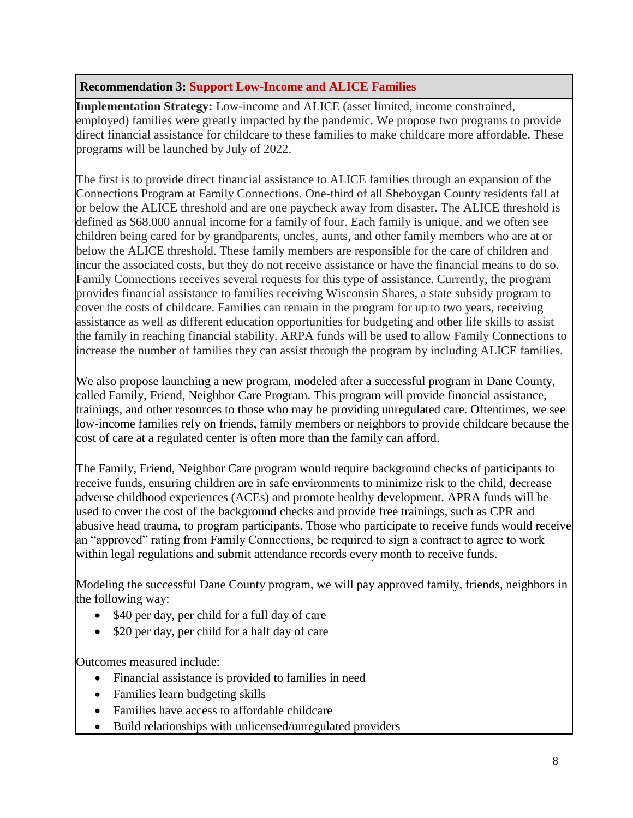### **Recommendation 3: Support Low-Income and ALICE Families**

**Implementation Strategy:** Low-income and ALICE (asset limited, income constrained, employed) families were greatly impacted by the pandemic. We propose two programs to provide direct financial assistance for childcare to these families to make childcare more affordable. These programs will be launched by July of 2022.

The first is to provide direct financial assistance to ALICE families through an expansion of the Connections Program at Family Connections. One-third of all Sheboygan County residents fall at or below the ALICE threshold and are one paycheck away from disaster. The ALICE threshold is defined as \$68,000 annual income for a family of four. Each family is unique, and we often see children being cared for by grandparents, uncles, aunts, and other family members who are at or below the ALICE threshold. These family members are responsible for the care of children and incur the associated costs, but they do not receive assistance or have the financial means to do so. Family Connections receives several requests for this type of assistance. Currently, the program provides financial assistance to families receiving Wisconsin Shares, a state subsidy program to cover the costs of childcare. Families can remain in the program for up to two years, receiving assistance as well as different education opportunities for budgeting and other life skills to assist the family in reaching financial stability. ARPA funds will be used to allow Family Connections to increase the number of families they can assist through the program by including ALICE families.

We also propose launching a new program, modeled after a successful program in Dane County, called Family, Friend, Neighbor Care Program. This program will provide financial assistance, trainings, and other resources to those who may be providing unregulated care. Oftentimes, we see low-income families rely on friends, family members or neighbors to provide childcare because the cost of care at a regulated center is often more than the family can afford.

The Family, Friend, Neighbor Care program would require background checks of participants to receive funds, ensuring children are in safe environments to minimize risk to the child, decrease adverse childhood experiences (ACEs) and promote healthy development. APRA funds will be used to cover the cost of the background checks and provide free trainings, such as CPR and abusive head trauma, to program participants. Those who participate to receive funds would receive an "approved" rating from Family Connections, be required to sign a contract to agree to work within legal regulations and submit attendance records every month to receive funds.

Modeling the successful Dane County program, we will pay approved family, friends, neighbors in the following way:

- \$40 per day, per child for a full day of care
- \$20 per day, per child for a half day of care

Outcomes measured include:

- Financial assistance is provided to families in need
- Families learn budgeting skills
- Families have access to affordable childcare
- Build relationships with unlicensed/unregulated providers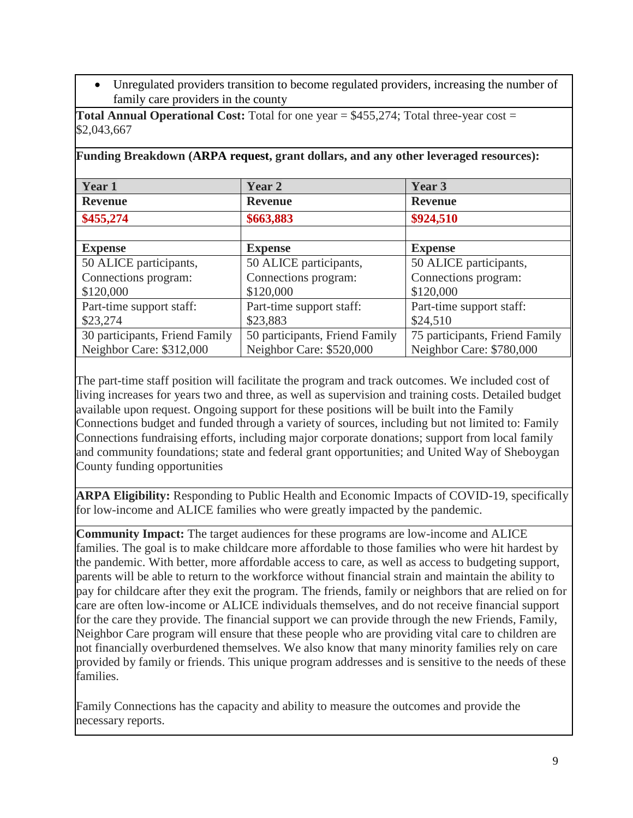• Unregulated providers transition to become regulated providers, increasing the number of family care providers in the county

| Funding Breakdown (ARPA request, grant dollars, and any other leveraged resources): |                                |                                |  |
|-------------------------------------------------------------------------------------|--------------------------------|--------------------------------|--|
| Year 1                                                                              | Year 2                         | Year 3                         |  |
| <b>Revenue</b>                                                                      | <b>Revenue</b>                 | <b>Revenue</b>                 |  |
| \$455,274                                                                           | \$663,883                      | \$924,510                      |  |
|                                                                                     |                                |                                |  |
| <b>Expense</b>                                                                      | <b>Expense</b>                 | <b>Expense</b>                 |  |
| 50 ALICE participants,                                                              | 50 ALICE participants,         | 50 ALICE participants,         |  |
| Connections program:                                                                | Connections program:           | Connections program:           |  |
| \$120,000                                                                           | \$120,000                      | \$120,000                      |  |
| Part-time support staff:                                                            | Part-time support staff:       | Part-time support staff:       |  |
| \$23,274                                                                            | \$23,883                       | \$24,510                       |  |
| 30 participants, Friend Family                                                      | 50 participants, Friend Family | 75 participants, Friend Family |  |
| Neighbor Care: \$312,000                                                            | Neighbor Care: \$520,000       | Neighbor Care: \$780,000       |  |

**Total Annual Operational Cost:** Total for one year = \$455,274; Total three-year cost = \$2,043,667

The part-time staff position will facilitate the program and track outcomes. We included cost of living increases for years two and three, as well as supervision and training costs. Detailed budget available upon request. Ongoing support for these positions will be built into the Family Connections budget and funded through a variety of sources, including but not limited to: Family Connections fundraising efforts, including major corporate donations; support from local family and community foundations; state and federal grant opportunities; and United Way of Sheboygan County funding opportunities

**ARPA Eligibility:** Responding to Public Health and Economic Impacts of COVID-19, specifically for low-income and ALICE families who were greatly impacted by the pandemic.

**Community Impact:** The target audiences for these programs are low-income and ALICE families. The goal is to make childcare more affordable to those families who were hit hardest by the pandemic. With better, more affordable access to care, as well as access to budgeting support, parents will be able to return to the workforce without financial strain and maintain the ability to pay for childcare after they exit the program. The friends, family or neighbors that are relied on for care are often low-income or ALICE individuals themselves, and do not receive financial support for the care they provide. The financial support we can provide through the new Friends, Family, Neighbor Care program will ensure that these people who are providing vital care to children are not financially overburdened themselves. We also know that many minority families rely on care provided by family or friends. This unique program addresses and is sensitive to the needs of these families.

Family Connections has the capacity and ability to measure the outcomes and provide the necessary reports.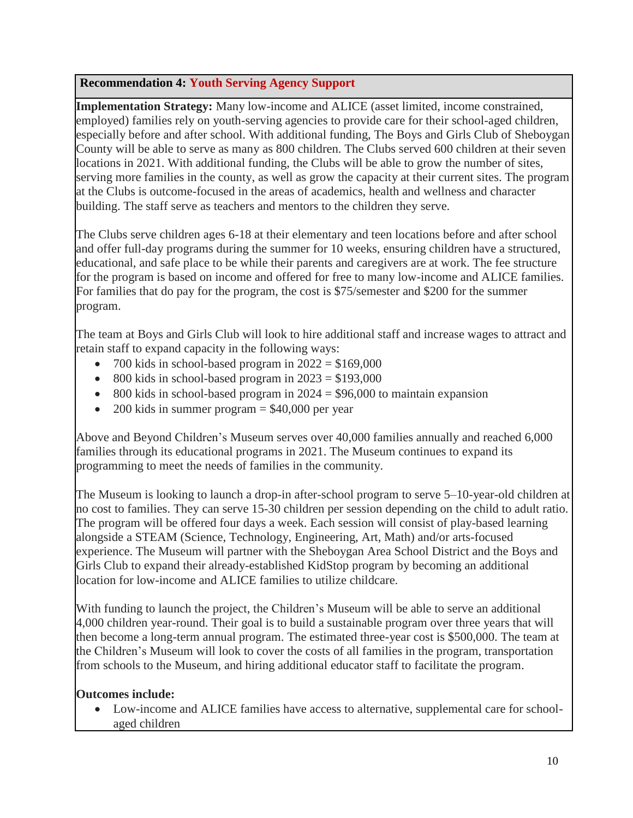# **Recommendation 4: Youth Serving Agency Support**

**Implementation Strategy:** Many low-income and ALICE (asset limited, income constrained, employed) families rely on youth-serving agencies to provide care for their school-aged children, especially before and after school. With additional funding, The Boys and Girls Club of Sheboygan County will be able to serve as many as 800 children. The Clubs served 600 children at their seven locations in 2021. With additional funding, the Clubs will be able to grow the number of sites, serving more families in the county, as well as grow the capacity at their current sites. The program at the Clubs is outcome-focused in the areas of academics, health and wellness and character building. The staff serve as teachers and mentors to the children they serve.

The Clubs serve children ages 6-18 at their elementary and teen locations before and after school and offer full-day programs during the summer for 10 weeks, ensuring children have a structured, educational, and safe place to be while their parents and caregivers are at work. The fee structure for the program is based on income and offered for free to many low-income and ALICE families. For families that do pay for the program, the cost is \$75/semester and \$200 for the summer program.

The team at Boys and Girls Club will look to hire additional staff and increase wages to attract and retain staff to expand capacity in the following ways:

- 700 kids in school-based program in  $2022 = $169,000$
- 800 kids in school-based program in  $2023 = $193,000$
- 800 kids in school-based program in  $2024 = $96,000$  to maintain expansion
- 200 kids in summer program  $=$  \$40,000 per year

Above and Beyond Children's Museum serves over 40,000 families annually and reached 6,000 families through its educational programs in 2021. The Museum continues to expand its programming to meet the needs of families in the community.

The Museum is looking to launch a drop-in after-school program to serve 5–10-year-old children at no cost to families. They can serve 15-30 children per session depending on the child to adult ratio. The program will be offered four days a week. Each session will consist of play-based learning alongside a STEAM (Science, Technology, Engineering, Art, Math) and/or arts-focused experience. The Museum will partner with the Sheboygan Area School District and the Boys and Girls Club to expand their already-established KidStop program by becoming an additional location for low-income and ALICE families to utilize childcare.

With funding to launch the project, the Children's Museum will be able to serve an additional 4,000 children year-round. Their goal is to build a sustainable program over three years that will then become a long-term annual program. The estimated three-year cost is \$500,000. The team at the Children's Museum will look to cover the costs of all families in the program, transportation from schools to the Museum, and hiring additional educator staff to facilitate the program.

# **Outcomes include:**

Low-income and ALICE families have access to alternative, supplemental care for schoolaged children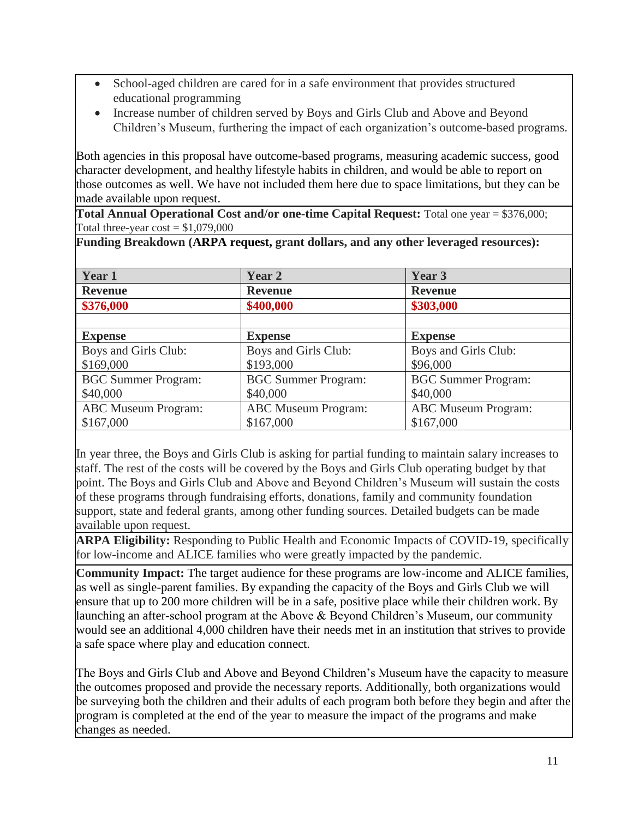- School-aged children are cared for in a safe environment that provides structured educational programming
- Increase number of children served by Boys and Girls Club and Above and Beyond Children's Museum, furthering the impact of each organization's outcome-based programs.

Both agencies in this proposal have outcome-based programs, measuring academic success, good character development, and healthy lifestyle habits in children, and would be able to report on those outcomes as well. We have not included them here due to space limitations, but they can be made available upon request.

**Total Annual Operational Cost and/or one-time Capital Request:** Total one year = \$376,000; Total three-year  $cost = $1,079,000$ 

**Funding Breakdown (ARPA request, grant dollars, and any other leveraged resources):**

| Year 1                     | Year 2                     | Year 3                     |
|----------------------------|----------------------------|----------------------------|
| <b>Revenue</b>             | <b>Revenue</b>             | <b>Revenue</b>             |
| \$376,000                  | \$400,000                  | \$303,000                  |
|                            |                            |                            |
| <b>Expense</b>             | <b>Expense</b>             | <b>Expense</b>             |
| Boys and Girls Club:       | Boys and Girls Club:       | Boys and Girls Club:       |
| \$169,000                  | \$193,000                  | \$96,000                   |
| <b>BGC Summer Program:</b> | <b>BGC Summer Program:</b> | <b>BGC Summer Program:</b> |
| \$40,000                   | \$40,000                   | \$40,000                   |
| <b>ABC</b> Museum Program: | <b>ABC</b> Museum Program: | <b>ABC</b> Museum Program: |
| \$167,000                  | \$167,000                  | \$167,000                  |
|                            |                            |                            |

In year three, the Boys and Girls Club is asking for partial funding to maintain salary increases to staff. The rest of the costs will be covered by the Boys and Girls Club operating budget by that point. The Boys and Girls Club and Above and Beyond Children's Museum will sustain the costs of these programs through fundraising efforts, donations, family and community foundation support, state and federal grants, among other funding sources. Detailed budgets can be made available upon request.

**ARPA Eligibility:** Responding to Public Health and Economic Impacts of COVID-19, specifically for low-income and ALICE families who were greatly impacted by the pandemic.

**Community Impact:** The target audience for these programs are low-income and ALICE families, as well as single-parent families. By expanding the capacity of the Boys and Girls Club we will ensure that up to 200 more children will be in a safe, positive place while their children work. By launching an after-school program at the Above & Beyond Children's Museum, our community would see an additional 4,000 children have their needs met in an institution that strives to provide a safe space where play and education connect.

The Boys and Girls Club and Above and Beyond Children's Museum have the capacity to measure the outcomes proposed and provide the necessary reports. Additionally, both organizations would be surveying both the children and their adults of each program both before they begin and after the program is completed at the end of the year to measure the impact of the programs and make changes as needed.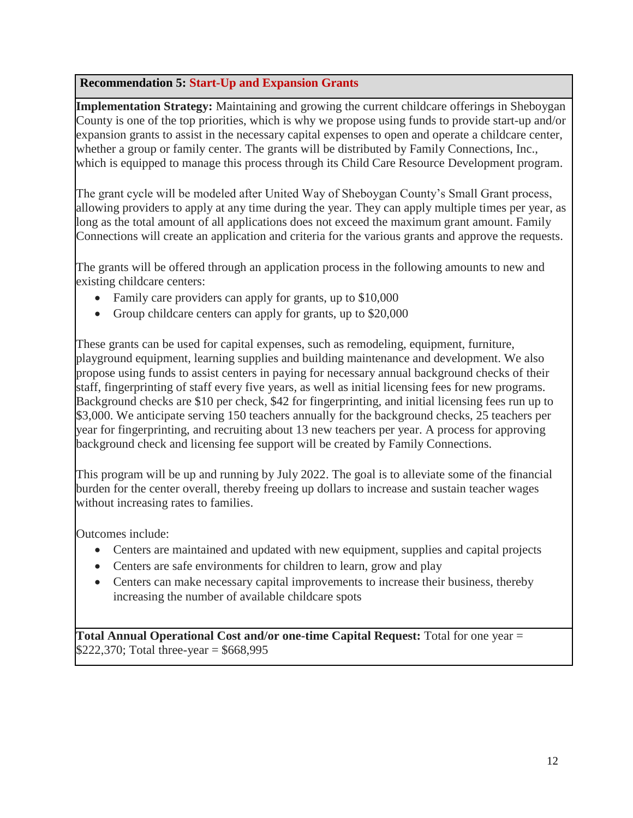### **Recommendation 5: Start-Up and Expansion Grants**

**Implementation Strategy:** Maintaining and growing the current childcare offerings in Sheboygan County is one of the top priorities, which is why we propose using funds to provide start-up and/or expansion grants to assist in the necessary capital expenses to open and operate a childcare center, whether a group or family center. The grants will be distributed by Family Connections, Inc., which is equipped to manage this process through its Child Care Resource Development program.

The grant cycle will be modeled after United Way of Sheboygan County's Small Grant process, allowing providers to apply at any time during the year. They can apply multiple times per year, as long as the total amount of all applications does not exceed the maximum grant amount. Family Connections will create an application and criteria for the various grants and approve the requests.

The grants will be offered through an application process in the following amounts to new and existing childcare centers:

- Family care providers can apply for grants, up to \$10,000
- Group childcare centers can apply for grants, up to \$20,000

These grants can be used for capital expenses, such as remodeling, equipment, furniture, playground equipment, learning supplies and building maintenance and development. We also propose using funds to assist centers in paying for necessary annual background checks of their staff, fingerprinting of staff every five years, as well as initial licensing fees for new programs. Background checks are \$10 per check, \$42 for fingerprinting, and initial licensing fees run up to \$3,000. We anticipate serving 150 teachers annually for the background checks, 25 teachers per year for fingerprinting, and recruiting about 13 new teachers per year. A process for approving background check and licensing fee support will be created by Family Connections.

This program will be up and running by July 2022. The goal is to alleviate some of the financial burden for the center overall, thereby freeing up dollars to increase and sustain teacher wages without increasing rates to families.

Outcomes include:

- Centers are maintained and updated with new equipment, supplies and capital projects
- Centers are safe environments for children to learn, grow and play
- Centers can make necessary capital improvements to increase their business, thereby increasing the number of available childcare spots

**Total Annual Operational Cost and/or one-time Capital Request:** Total for one year = \$222,370; Total three-year =  $$668,995$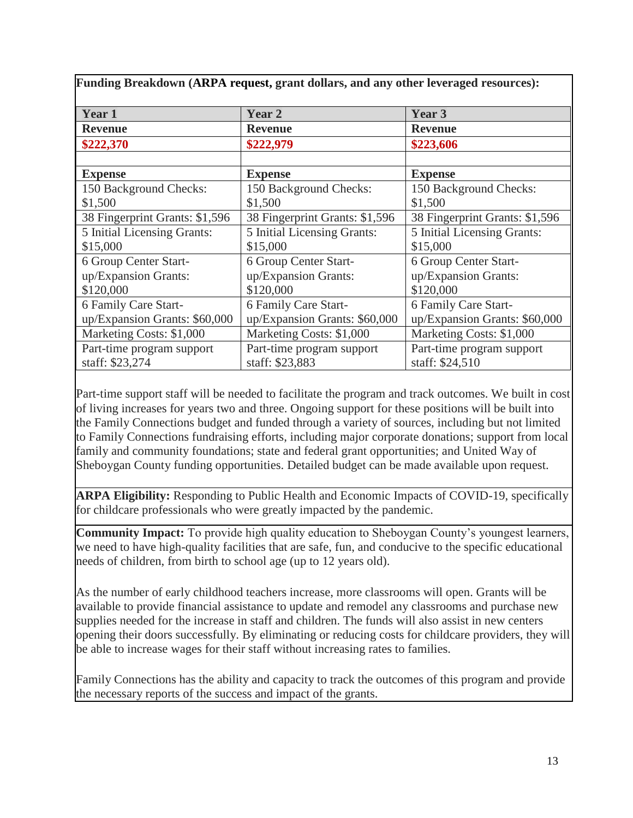| Funding Breakdown (ARPA request, grant dollars, and any other leveraged resources): |                                |                                |  |
|-------------------------------------------------------------------------------------|--------------------------------|--------------------------------|--|
| Year 1                                                                              | Year 2                         | Year 3                         |  |
| <b>Revenue</b>                                                                      | <b>Revenue</b>                 | <b>Revenue</b>                 |  |
| \$222,370                                                                           | \$222,979                      | \$223,606                      |  |
|                                                                                     |                                |                                |  |
| <b>Expense</b>                                                                      | <b>Expense</b>                 | <b>Expense</b>                 |  |
| 150 Background Checks:                                                              | 150 Background Checks:         | 150 Background Checks:         |  |
| \$1,500                                                                             | \$1,500                        | \$1,500                        |  |
| 38 Fingerprint Grants: \$1,596                                                      | 38 Fingerprint Grants: \$1,596 | 38 Fingerprint Grants: \$1,596 |  |
| 5 Initial Licensing Grants:                                                         | 5 Initial Licensing Grants:    | 5 Initial Licensing Grants:    |  |
| \$15,000                                                                            | \$15,000                       | \$15,000                       |  |
| 6 Group Center Start-                                                               | 6 Group Center Start-          | 6 Group Center Start-          |  |
| up/Expansion Grants:                                                                | up/Expansion Grants:           | up/Expansion Grants:           |  |
| \$120,000                                                                           | \$120,000                      | \$120,000                      |  |
| 6 Family Care Start-                                                                | 6 Family Care Start-           | 6 Family Care Start-           |  |
| up/Expansion Grants: \$60,000                                                       | up/Expansion Grants: \$60,000  | up/Expansion Grants: \$60,000  |  |
| Marketing Costs: \$1,000                                                            | Marketing Costs: \$1,000       | Marketing Costs: \$1,000       |  |
| Part-time program support                                                           | Part-time program support      | Part-time program support      |  |
| staff: \$23,274                                                                     | staff: \$23,883                | staff: \$24,510                |  |

Part-time support staff will be needed to facilitate the program and track outcomes. We built in cost of living increases for years two and three. Ongoing support for these positions will be built into the Family Connections budget and funded through a variety of sources, including but not limited to Family Connections fundraising efforts, including major corporate donations; support from local family and community foundations; state and federal grant opportunities; and United Way of Sheboygan County funding opportunities. Detailed budget can be made available upon request.

**ARPA Eligibility:** Responding to Public Health and Economic Impacts of COVID-19, specifically for childcare professionals who were greatly impacted by the pandemic.

**Community Impact:** To provide high quality education to Sheboygan County's youngest learners, we need to have high-quality facilities that are safe, fun, and conducive to the specific educational needs of children, from birth to school age (up to 12 years old).

As the number of early childhood teachers increase, more classrooms will open. Grants will be available to provide financial assistance to update and remodel any classrooms and purchase new supplies needed for the increase in staff and children. The funds will also assist in new centers opening their doors successfully. By eliminating or reducing costs for childcare providers, they will be able to increase wages for their staff without increasing rates to families.

Family Connections has the ability and capacity to track the outcomes of this program and provide the necessary reports of the success and impact of the grants.